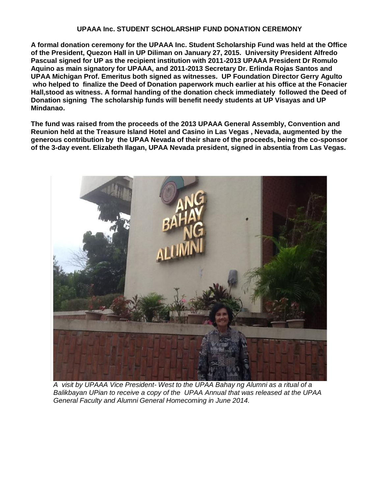## **UPAAA Inc. STUDENT SCHOLARSHIP FUND DONATION CEREMONY**

**A formal donation ceremony for the UPAAA Inc. Student Scholarship Fund was held at the Office of the President, Quezon Hall in UP Diliman on January 27, 2015. University President Alfredo Pascual signed for UP as the recipient institution with 2011-2013 UPAAA President Dr Romulo Aquino as main signatory for UPAAA, and 2011-2013 Secretary Dr. Erlinda Rojas Santos and UPAA Michigan Prof. Emeritus both signed as witnesses. UP Foundation Director Gerry Agulto who helped to finalize the Deed of Donation paperwork much earlier at his office at the Fonacier Hall,stood as witness. A formal handing of the donation check immediately followed the Deed of Donation signing The scholarship funds will benefit needy students at UP Visayas and UP Mindanao.**

**The fund was raised from the proceeds of the 2013 UPAAA General Assembly, Convention and Reunion held at the Treasure Island Hotel and Casino in Las Vegas , Nevada, augmented by the generous contribution by the UPAA Nevada of their share of the proceeds, being the co-sponsor of the 3-day event. Elizabeth Ilagan, UPAA Nevada president, signed in absentia from Las Vegas.**



*A visit by UPAAA Vice President- West to the UPAA Bahay ng Alumni as a ritual of a Balikbayan UPian to receive a copy of the UPAA Annual that was released at the UPAA General Faculty and Alumni General Homecoming in June 2014.*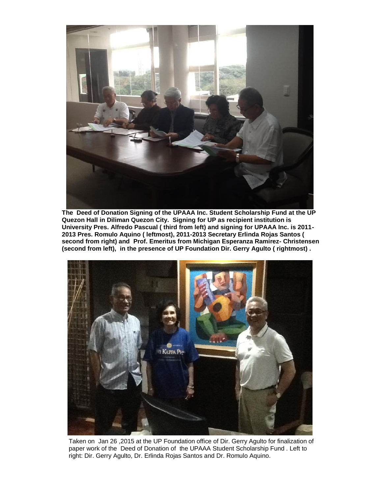

**The Deed of Donation Signing of the UPAAA Inc. Student Scholarship Fund at the UP Quezon Hall in Diliman Quezon City. Signing for UP as recipient institution is University Pres. Alfredo Pascual ( third from left) and signing for UPAAA Inc. is 2011- 2013 Pres. Romulo Aquino ( leftmost), 2011-2013 Secretary Erlinda Rojas Santos ( second from right) and Prof. Emeritus from Michigan Esperanza Ramirez- Christensen (second from left), in the presence of UP Foundation Dir. Gerry Agulto ( rightmost) .**



Taken on Jan 26 ,2015 at the UP Foundation office of Dir. Gerry Agulto for finalization of paper work of the Deed of Donation of the UPAAA Student Scholarship Fund . Left to right: Dir. Gerry Agulto, Dr. Erlinda Rojas Santos and Dr. Romulo Aquino.